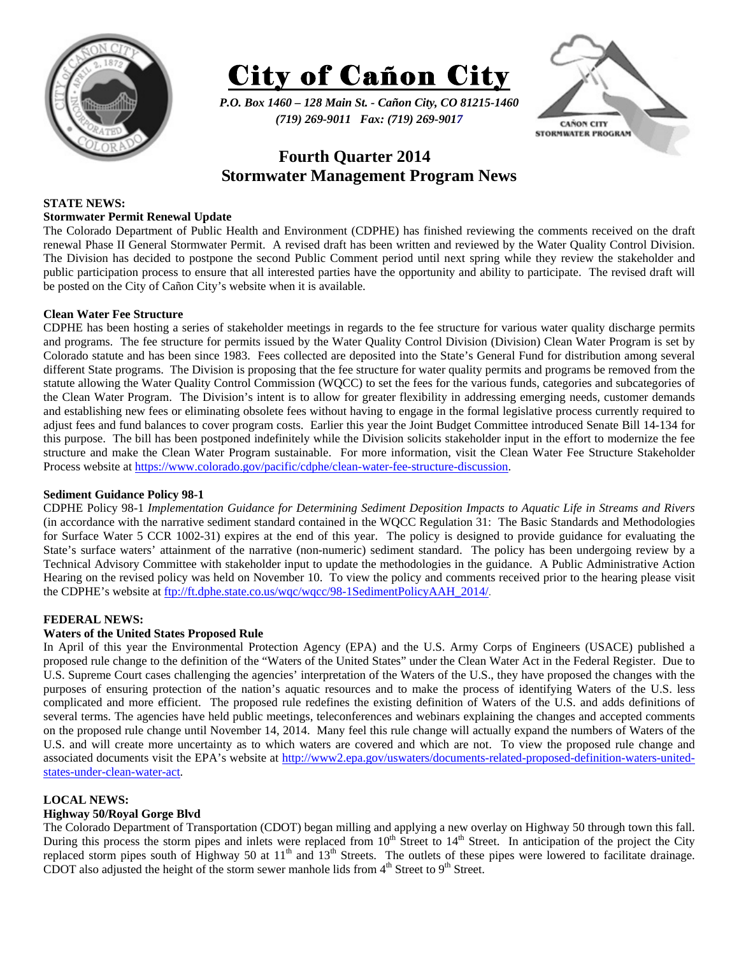



*P.O. Box 1460 – 128 Main St. - Cañon City, CO 81215-1460 (719) 269-9011 Fax: (719) 269-9017* 



# **Fourth Quarter 2014 Stormwater Management Program News**

## **STATE NEWS:**

#### **Stormwater Permit Renewal Update**

The Colorado Department of Public Health and Environment (CDPHE) has finished reviewing the comments received on the draft renewal Phase II General Stormwater Permit. A revised draft has been written and reviewed by the Water Quality Control Division. The Division has decided to postpone the second Public Comment period until next spring while they review the stakeholder and public participation process to ensure that all interested parties have the opportunity and ability to participate. The revised draft will be posted on the City of Cañon City's website when it is available.

#### **Clean Water Fee Structure**

CDPHE has been hosting a series of stakeholder meetings in regards to the fee structure for various water quality discharge permits and programs. The fee structure for permits issued by the Water Quality Control Division (Division) Clean Water Program is set by Colorado statute and has been since 1983. Fees collected are deposited into the State's General Fund for distribution among several different State programs. The Division is proposing that the fee structure for water quality permits and programs be removed from the statute allowing the Water Quality Control Commission (WQCC) to set the fees for the various funds, categories and subcategories of the Clean Water Program. The Division's intent is to allow for greater flexibility in addressing emerging needs, customer demands and establishing new fees or eliminating obsolete fees without having to engage in the formal legislative process currently required to adjust fees and fund balances to cover program costs. Earlier this year the Joint Budget Committee introduced Senate Bill 14-134 for this purpose. The bill has been postponed indefinitely while the Division solicits stakeholder input in the effort to modernize the fee structure and make the Clean Water Program sustainable. For more information, visit the Clean Water Fee Structure Stakeholder Process website at https://www.colorado.gov/pacific/cdphe/clean-water-fee-structure-discussion.

#### **Sediment Guidance Policy 98-1**

CDPHE Policy 98-1 *Implementation Guidance for Determining Sediment Deposition Impacts to Aquatic Life in Streams and Rivers* (in accordance with the narrative sediment standard contained in the WQCC Regulation 31: The Basic Standards and Methodologies for Surface Water 5 CCR 1002-31) expires at the end of this year. The policy is designed to provide guidance for evaluating the State's surface waters' attainment of the narrative (non-numeric) sediment standard. The policy has been undergoing review by a Technical Advisory Committee with stakeholder input to update the methodologies in the guidance. A Public Administrative Action Hearing on the revised policy was held on November 10. To view the policy and comments received prior to the hearing please visit the CDPHE's website at ftp://ft.dphe.state.co.us/wqc/wqcc/98-1SedimentPolicyAAH\_2014/.

#### **FEDERAL NEWS:**

#### **Waters of the United States Proposed Rule**

In April of this year the Environmental Protection Agency (EPA) and the U.S. Army Corps of Engineers (USACE) published a proposed rule change to the definition of the "Waters of the United States" under the Clean Water Act in the Federal Register. Due to U.S. Supreme Court cases challenging the agencies' interpretation of the Waters of the U.S., they have proposed the changes with the purposes of ensuring protection of the nation's aquatic resources and to make the process of identifying Waters of the U.S. less complicated and more efficient. The proposed rule redefines the existing definition of Waters of the U.S. and adds definitions of several terms. The agencies have held public meetings, teleconferences and webinars explaining the changes and accepted comments on the proposed rule change until November 14, 2014. Many feel this rule change will actually expand the numbers of Waters of the U.S. and will create more uncertainty as to which waters are covered and which are not. To view the proposed rule change and associated documents visit the EPA's website at http://www2.epa.gov/uswaters/documents-related-proposed-definition-waters-unitedstates-under-clean-water-act.

#### **LOCAL NEWS:**

#### **Highway 50/Royal Gorge Blvd**

The Colorado Department of Transportation (CDOT) began milling and applying a new overlay on Highway 50 through town this fall. During this process the storm pipes and inlets were replaced from 10<sup>th</sup> Street to 14<sup>th</sup> Street. In anticipation of the project the City replaced storm pipes south of Highway 50 at  $11<sup>th</sup>$  and  $13<sup>th</sup>$  Streets. The outlets of these pipes were lowered to facilitate drainage. CDOT also adjusted the height of the storm sewer manhole lids from  $4<sup>th</sup>$  Street to  $9<sup>th</sup>$  Street.